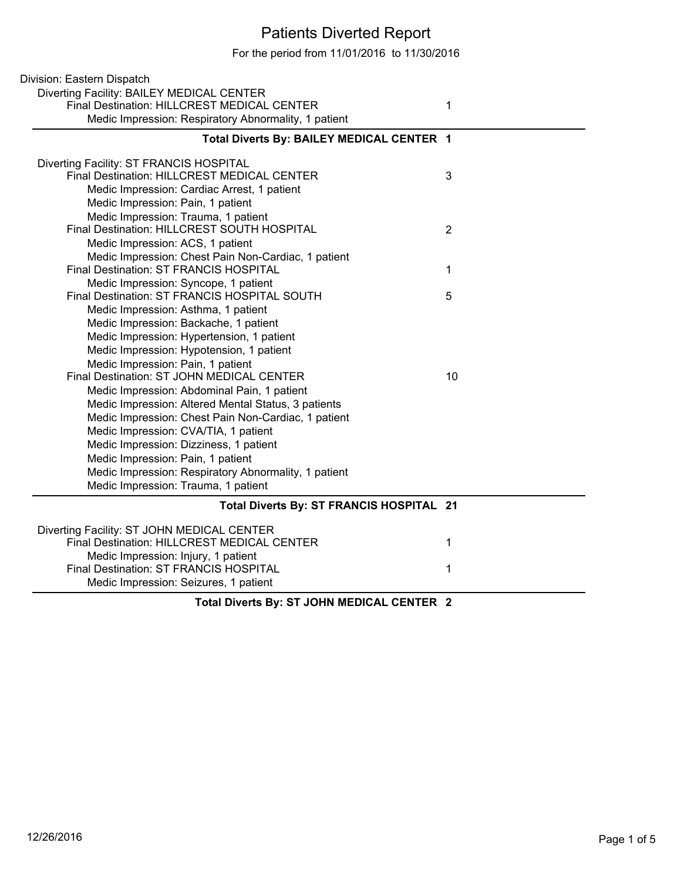## Patients Diverted Report

For the period from 11/01/2016 to 11/30/2016

| Division: Eastern Dispatch                           |                |
|------------------------------------------------------|----------------|
| Diverting Facility: BAILEY MEDICAL CENTER            |                |
| Final Destination: HILLCREST MEDICAL CENTER          | 1              |
| Medic Impression: Respiratory Abnormality, 1 patient |                |
| Total Diverts By: BAILEY MEDICAL CENTER 1            |                |
| Diverting Facility: ST FRANCIS HOSPITAL              |                |
| Final Destination: HILLCREST MEDICAL CENTER          | 3              |
| Medic Impression: Cardiac Arrest, 1 patient          |                |
| Medic Impression: Pain, 1 patient                    |                |
| Medic Impression: Trauma, 1 patient                  |                |
| Final Destination: HILLCREST SOUTH HOSPITAL          | $\overline{2}$ |
| Medic Impression: ACS, 1 patient                     |                |
| Medic Impression: Chest Pain Non-Cardiac, 1 patient  |                |
| Final Destination: ST FRANCIS HOSPITAL               | 1              |
| Medic Impression: Syncope, 1 patient                 |                |
| Final Destination: ST FRANCIS HOSPITAL SOUTH         | 5              |
| Medic Impression: Asthma, 1 patient                  |                |
| Medic Impression: Backache, 1 patient                |                |
| Medic Impression: Hypertension, 1 patient            |                |
| Medic Impression: Hypotension, 1 patient             |                |
| Medic Impression: Pain, 1 patient                    |                |
| Final Destination: ST JOHN MEDICAL CENTER            | 10             |
| Medic Impression: Abdominal Pain, 1 patient          |                |
| Medic Impression: Altered Mental Status, 3 patients  |                |
| Medic Impression: Chest Pain Non-Cardiac, 1 patient  |                |
| Medic Impression: CVA/TIA, 1 patient                 |                |
| Medic Impression: Dizziness, 1 patient               |                |
| Medic Impression: Pain, 1 patient                    |                |
| Medic Impression: Respiratory Abnormality, 1 patient |                |
| Medic Impression: Trauma, 1 patient                  |                |
| Total Diverts By: ST FRANCIS HOSPITAL 21             |                |
| Diverting Facility: ST JOHN MEDICAL CENTER           |                |
| Final Destination: HILLCREST MEDICAL CENTER          | 1              |
| Medic Impression: Injury, 1 patient                  |                |
| Final Destination: ST FRANCIS HOSPITAL               | 1              |
| Medic Impression: Seizures, 1 patient                |                |
|                                                      |                |

**Total Diverts By: ST JOHN MEDICAL CENTER 2**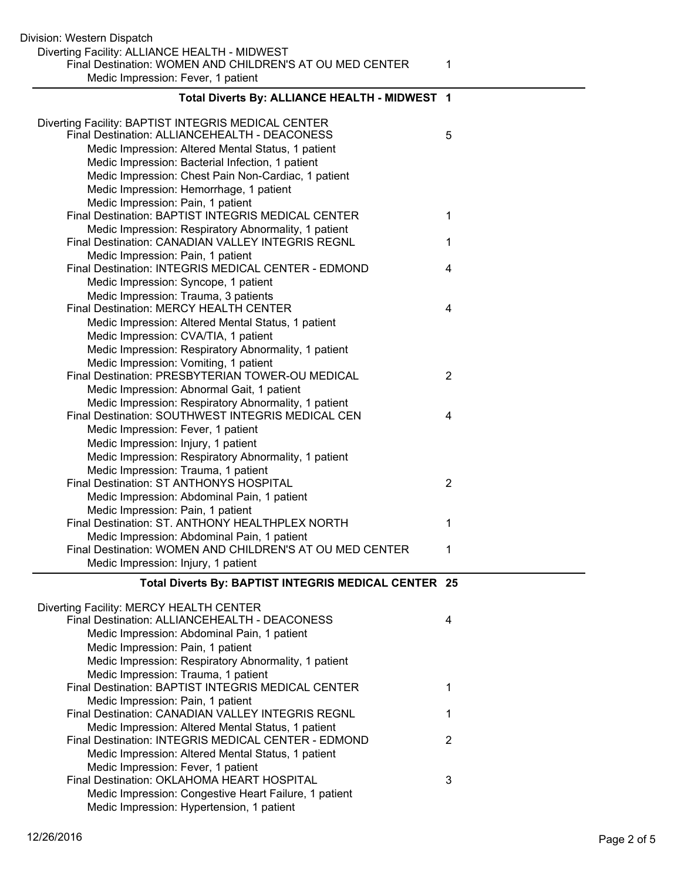## **Total Diverts By: ALLIANCE HEALTH - MIDWEST 1**

| Diverting Facility: BAPTIST INTEGRIS MEDICAL CENTER<br>Final Destination: ALLIANCEHEALTH - DEACONESS<br>Medic Impression: Altered Mental Status, 1 patient<br>Medic Impression: Bacterial Infection, 1 patient<br>Medic Impression: Chest Pain Non-Cardiac, 1 patient<br>Medic Impression: Hemorrhage, 1 patient | 5              |
|------------------------------------------------------------------------------------------------------------------------------------------------------------------------------------------------------------------------------------------------------------------------------------------------------------------|----------------|
| Medic Impression: Pain, 1 patient<br>Final Destination: BAPTIST INTEGRIS MEDICAL CENTER                                                                                                                                                                                                                          | 1              |
| Medic Impression: Respiratory Abnormality, 1 patient                                                                                                                                                                                                                                                             |                |
| Final Destination: CANADIAN VALLEY INTEGRIS REGNL                                                                                                                                                                                                                                                                | 1              |
| Medic Impression: Pain, 1 patient                                                                                                                                                                                                                                                                                |                |
| Final Destination: INTEGRIS MEDICAL CENTER - EDMOND                                                                                                                                                                                                                                                              | 4              |
| Medic Impression: Syncope, 1 patient                                                                                                                                                                                                                                                                             |                |
| Medic Impression: Trauma, 3 patients<br>Final Destination: MERCY HEALTH CENTER                                                                                                                                                                                                                                   | 4              |
| Medic Impression: Altered Mental Status, 1 patient                                                                                                                                                                                                                                                               |                |
| Medic Impression: CVA/TIA, 1 patient                                                                                                                                                                                                                                                                             |                |
| Medic Impression: Respiratory Abnormality, 1 patient                                                                                                                                                                                                                                                             |                |
| Medic Impression: Vomiting, 1 patient                                                                                                                                                                                                                                                                            |                |
| Final Destination: PRESBYTERIAN TOWER-OU MEDICAL                                                                                                                                                                                                                                                                 | $\overline{2}$ |
| Medic Impression: Abnormal Gait, 1 patient                                                                                                                                                                                                                                                                       |                |
| Medic Impression: Respiratory Abnormality, 1 patient                                                                                                                                                                                                                                                             |                |
| Final Destination: SOUTHWEST INTEGRIS MEDICAL CEN                                                                                                                                                                                                                                                                | 4              |
| Medic Impression: Fever, 1 patient                                                                                                                                                                                                                                                                               |                |
| Medic Impression: Injury, 1 patient                                                                                                                                                                                                                                                                              |                |
| Medic Impression: Respiratory Abnormality, 1 patient                                                                                                                                                                                                                                                             |                |
| Medic Impression: Trauma, 1 patient                                                                                                                                                                                                                                                                              |                |
| Final Destination: ST ANTHONYS HOSPITAL                                                                                                                                                                                                                                                                          | $\overline{2}$ |
| Medic Impression: Abdominal Pain, 1 patient                                                                                                                                                                                                                                                                      |                |
| Medic Impression: Pain, 1 patient<br>Final Destination: ST. ANTHONY HEALTHPLEX NORTH                                                                                                                                                                                                                             | 1              |
| Medic Impression: Abdominal Pain, 1 patient                                                                                                                                                                                                                                                                      |                |
| Final Destination: WOMEN AND CHILDREN'S AT OU MED CENTER                                                                                                                                                                                                                                                         | $\mathbf{1}$   |
| Medic Impression: Injury, 1 patient                                                                                                                                                                                                                                                                              |                |
|                                                                                                                                                                                                                                                                                                                  |                |
| Total Diverts By: BAPTIST INTEGRIS MEDICAL CENTER 25                                                                                                                                                                                                                                                             |                |
| Diverting Facility: MERCY HEALTH CENTER<br>Final Destination: ALLIANCEHEALTH - DEACONESS<br>Medic Impression: Abdominal Pain, 1 patient                                                                                                                                                                          | 4              |

| Medic Impression: Abdominal Pain, 1 patient              |   |
|----------------------------------------------------------|---|
| Medic Impression: Pain, 1 patient                        |   |
| Medic Impression: Respiratory Abnormality, 1 patient     |   |
| Medic Impression: Trauma, 1 patient                      |   |
| Final Destination: BAPTIST INTEGRIS MEDICAL CENTER       |   |
| Medic Impression: Pain, 1 patient                        |   |
| <b>Final Destination: CANADIAN VALLEY INTEGRIS REGNL</b> |   |
| Medic Impression: Altered Mental Status, 1 patient       |   |
| Final Destination: INTEGRIS MEDICAL CENTER - EDMOND      | 2 |
| Medic Impression: Altered Mental Status, 1 patient       |   |
| Medic Impression: Fever, 1 patient                       |   |
| Final Destination: OKLAHOMA HEART HOSPITAL               |   |
| Medic Impression: Congestive Heart Failure, 1 patient    |   |
| Medic Impression: Hypertension, 1 patient                |   |
|                                                          |   |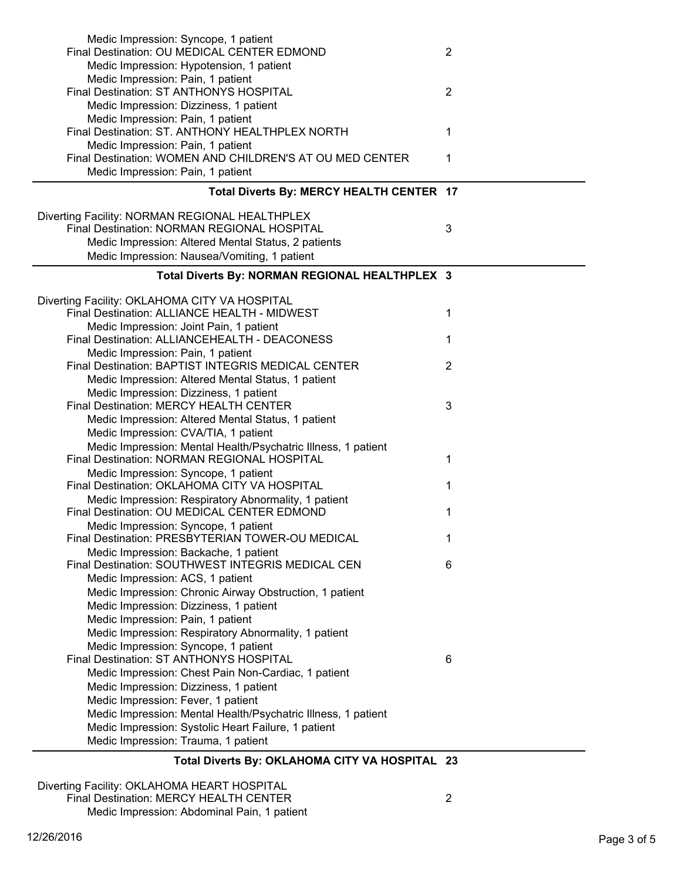| Medic Impression: Syncope, 1 patient                                                 |                |
|--------------------------------------------------------------------------------------|----------------|
| Final Destination: OU MEDICAL CENTER EDMOND                                          | $\overline{2}$ |
| Medic Impression: Hypotension, 1 patient                                             |                |
| Medic Impression: Pain, 1 patient                                                    |                |
| Final Destination: ST ANTHONYS HOSPITAL                                              | 2              |
| Medic Impression: Dizziness, 1 patient                                               |                |
| Medic Impression: Pain, 1 patient                                                    |                |
| Final Destination: ST. ANTHONY HEALTHPLEX NORTH<br>Medic Impression: Pain, 1 patient | 1              |
| Final Destination: WOMEN AND CHILDREN'S AT OU MED CENTER                             | 1              |
| Medic Impression: Pain, 1 patient                                                    |                |
| Total Diverts By: MERCY HEALTH CENTER 17                                             |                |
|                                                                                      |                |
| Diverting Facility: NORMAN REGIONAL HEALTHPLEX                                       |                |
| Final Destination: NORMAN REGIONAL HOSPITAL                                          | 3              |
| Medic Impression: Altered Mental Status, 2 patients                                  |                |
| Medic Impression: Nausea/Vomiting, 1 patient                                         |                |
| Total Diverts By: NORMAN REGIONAL HEALTHPLEX 3                                       |                |
| Diverting Facility: OKLAHOMA CITY VA HOSPITAL                                        |                |
| Final Destination: ALLIANCE HEALTH - MIDWEST                                         | 1              |
| Medic Impression: Joint Pain, 1 patient                                              |                |
| Final Destination: ALLIANCEHEALTH - DEACONESS                                        | 1              |
| Medic Impression: Pain, 1 patient                                                    |                |
| Final Destination: BAPTIST INTEGRIS MEDICAL CENTER                                   | $\overline{2}$ |
| Medic Impression: Altered Mental Status, 1 patient                                   |                |
| Medic Impression: Dizziness, 1 patient                                               |                |
| Final Destination: MERCY HEALTH CENTER                                               | 3              |
| Medic Impression: Altered Mental Status, 1 patient                                   |                |
| Medic Impression: CVA/TIA, 1 patient                                                 |                |
| Medic Impression: Mental Health/Psychatric Illness, 1 patient                        |                |
| Final Destination: NORMAN REGIONAL HOSPITAL                                          | 1              |
| Medic Impression: Syncope, 1 patient                                                 |                |
| Final Destination: OKLAHOMA CITY VA HOSPITAL                                         | 1              |
| Medic Impression: Respiratory Abnormality, 1 patient                                 |                |
| Final Destination: OU MEDICAL CENTER EDMOND                                          | 1              |
| Medic Impression: Syncope, 1 patient                                                 |                |
| Final Destination: PRESBYTERIAN TOWER-OU MEDICAL                                     | 1              |
| Medic Impression: Backache, 1 patient                                                |                |
| Final Destination: SOUTHWEST INTEGRIS MEDICAL CEN                                    | 6              |
| Medic Impression: ACS, 1 patient                                                     |                |
| Medic Impression: Chronic Airway Obstruction, 1 patient                              |                |
| Medic Impression: Dizziness, 1 patient                                               |                |
| Medic Impression: Pain, 1 patient                                                    |                |
| Medic Impression: Respiratory Abnormality, 1 patient                                 |                |
| Medic Impression: Syncope, 1 patient                                                 |                |
| Final Destination: ST ANTHONYS HOSPITAL                                              | 6              |
| Medic Impression: Chest Pain Non-Cardiac, 1 patient                                  |                |
| Medic Impression: Dizziness, 1 patient                                               |                |
| Medic Impression: Fever, 1 patient                                                   |                |
| Medic Impression: Mental Health/Psychatric Illness, 1 patient                        |                |
| Medic Impression: Systolic Heart Failure, 1 patient                                  |                |
| Medic Impression: Trauma, 1 patient                                                  |                |
| Total Diverts By: OKLAHOMA CITY VA HOSPITAL 23                                       |                |

Diverting Facility: OKLAHOMA HEART HOSPITAL Final Destination: MERCY HEALTH CENTER 2 Medic Impression: Abdominal Pain, 1 patient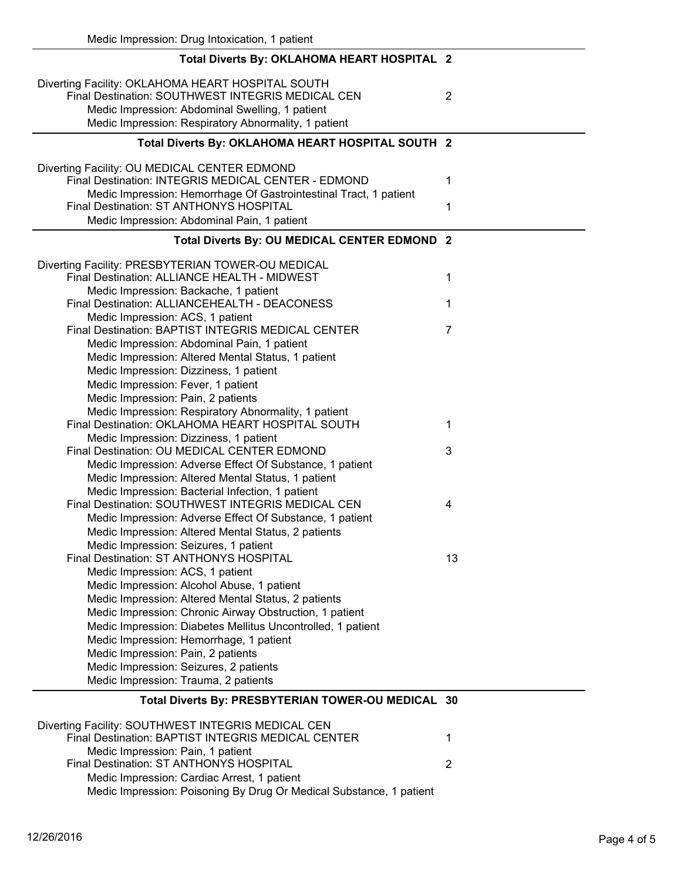| Total Diverts By: OKLAHOMA HEART HOSPITAL 2                                           |                |
|---------------------------------------------------------------------------------------|----------------|
| Diverting Facility: OKLAHOMA HEART HOSPITAL SOUTH                                     |                |
| Final Destination: SOUTHWEST INTEGRIS MEDICAL CEN                                     | $\overline{2}$ |
| Medic Impression: Abdominal Swelling, 1 patient                                       |                |
| Medic Impression: Respiratory Abnormality, 1 patient                                  |                |
| Total Diverts By: OKLAHOMA HEART HOSPITAL SOUTH 2                                     |                |
|                                                                                       |                |
| Diverting Facility: OU MEDICAL CENTER EDMOND                                          |                |
| Final Destination: INTEGRIS MEDICAL CENTER - EDMOND                                   | 1              |
| Medic Impression: Hemorrhage Of Gastrointestinal Tract, 1 patient                     |                |
| Final Destination: ST ANTHONYS HOSPITAL                                               | 1              |
| Medic Impression: Abdominal Pain, 1 patient                                           |                |
| Total Diverts By: OU MEDICAL CENTER EDMOND 2                                          |                |
| Diverting Facility: PRESBYTERIAN TOWER-OU MEDICAL                                     |                |
| Final Destination: ALLIANCE HEALTH - MIDWEST                                          | 1              |
| Medic Impression: Backache, 1 patient                                                 |                |
| Final Destination: ALLIANCEHEALTH - DEACONESS                                         | 1              |
| Medic Impression: ACS, 1 patient                                                      |                |
| Final Destination: BAPTIST INTEGRIS MEDICAL CENTER                                    | $\overline{7}$ |
| Medic Impression: Abdominal Pain, 1 patient                                           |                |
| Medic Impression: Altered Mental Status, 1 patient                                    |                |
| Medic Impression: Dizziness, 1 patient                                                |                |
| Medic Impression: Fever, 1 patient                                                    |                |
| Medic Impression: Pain, 2 patients                                                    |                |
| Medic Impression: Respiratory Abnormality, 1 patient                                  |                |
| Final Destination: OKLAHOMA HEART HOSPITAL SOUTH                                      | 1              |
| Medic Impression: Dizziness, 1 patient<br>Final Destination: OU MEDICAL CENTER EDMOND | 3              |
| Medic Impression: Adverse Effect Of Substance, 1 patient                              |                |
| Medic Impression: Altered Mental Status, 1 patient                                    |                |
| Medic Impression: Bacterial Infection, 1 patient                                      |                |
| Final Destination: SOUTHWEST INTEGRIS MEDICAL CEN                                     | 4              |
| Medic Impression: Adverse Effect Of Substance, 1 patient                              |                |
| Medic Impression: Altered Mental Status, 2 patients                                   |                |
| Medic Impression: Seizures, 1 patient                                                 |                |
| Final Destination: ST ANTHONYS HOSPITAL                                               | 13             |
| Medic Impression: ACS, 1 patient                                                      |                |
| Medic Impression: Alcohol Abuse, 1 patient                                            |                |
| Medic Impression: Altered Mental Status, 2 patients                                   |                |
| Medic Impression: Chronic Airway Obstruction, 1 patient                               |                |
| Medic Impression: Diabetes Mellitus Uncontrolled, 1 patient                           |                |
| Medic Impression: Hemorrhage, 1 patient                                               |                |
| Medic Impression: Pain, 2 patients                                                    |                |
| Medic Impression: Seizures, 2 patients                                                |                |
| Medic Impression: Trauma, 2 patients                                                  |                |
| Total Diverts By: PRESBYTERIAN TOWER-OU MEDICAL 30                                    |                |
| Diverting Facility: SOUTHWEST INTEGRIS MEDICAL CEN                                    |                |
| Final Destination: BAPTIST INTEGRIS MEDICAL CENTER                                    | 1              |